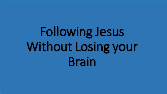# Following Jesus Without Losing your Brain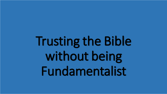Trusting the Bible without being Fundamentalist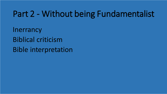# Part 2 - Without being Fundamentalist

**Inerrancy** Biblical criticism Bible interpretation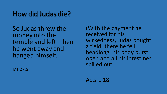# How did Judas die?

So Judas threw the money into the temple and left. Then he went away and hanged himself.

Mt 27:5

(With the payment he received for his wickedness, Judas bought a field; there he fell headlong, his body burst open and all his intestines spilled out.

Acts 1:18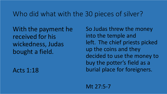#### Who did what with the 30 pieces of silver?

With the payment he received for his wickedness, Judas bought a field.

Acts 1:18

So Judas threw the money into the temple and left. The chief priests picked up the coins and they decided to use the money to buy the potter's field as a burial place for foreigners.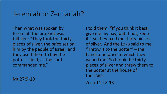#### Jeremiah or Zechariah?

Then what was spoken by Jeremiah the prophet was fulfilled: "They took the thirty pieces of silver, the price set on him by the people of Israel, and they used them to buy the potter's field, as the Lord commanded me."

Mt 27:9-10

I told them, "If you think it best, give me my pay; but if not, keep it." So they paid me thirty pieces of silver. And the LORD said to me, "Throw it to the potter"—the handsome price at which they valued me! So I took the thirty pieces of silver and threw them to the potter at the house of the LORD.

Zech 11:12-13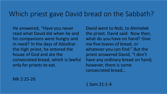#### Which priest gave David bread on the Sabbath?

He answered, "Have you never read what David did when he and his companions were hungry and in need? In the days of Abiathar the high priest, he entered the house of God and ate the consecrated bread, which is lawful only for priests to eat.

David went to Nob, to Ahimelek the priest. David said: Now then, what do you have on hand? Give me five loaves of bread, or whatever you can find." But the priest answered David, "I don't have any ordinary bread on hand; however, there is some consecrated bread…

Mk 2:25-26

1 Sam 21:1-4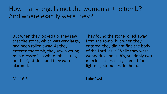#### How many angels met the women at the tomb? And where exactly were they?

But when they looked up, they saw that the stone, which was very large, had been rolled away. As they entered the tomb, they saw a young man dressed in a white robe sitting on the right side, and they were alarmed.

They found the stone rolled away from the tomb, but when they entered, they did not find the body of the Lord Jesus. While they were wondering about this, suddenly two men in clothes that gleamed like lightning stood beside them..

Mk 16:5

Luke24:4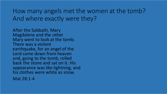How many angels met the women at the tomb? And where exactly were they?

After the Sabbath, Mary Magdalene and the other Mary went to look at the tomb. There was a violent earthquake, for an angel of the Lord came down from heaven and, going to the tomb, rolled back the stone and sat on it. His appearance was like lightning, and his clothes were white as snow. Mat 28:1-4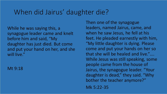# When did Jairus' daughter die?

While he was saying this, a synagogue leader came and knelt before him and said, "My daughter has just died. But come and put your hand on her, and she will live."

Mt 9:18

Then one of the synagogue leaders, named Jairus, came, and when he saw Jesus, he fell at his feet. He pleaded earnestly with him, "My little daughter is dying. Please come and put your hands on her so that she will be healed and live."…. While Jesus was still speaking, some people came from the house of Jairus, the synagogue leader. "Your daughter is dead," they said. "Why bother the teacher anymore?" Mk 5:22-35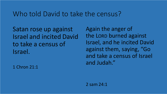#### Who told David to take the census?

Satan rose up against Israel and incited David to take a census of Israel.

1 Chron 21:1

Again the anger of the LORD burned against Israel, and he incited David against them, saying, "Go and take a census of Israel and Judah."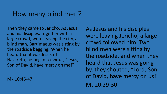#### How many blind men?

Then they came to Jericho. As Jesus and his disciples, together with a large crowd, were leaving the city, a blind man, Bartimaeus was sitting by the roadside begging. When he heard that it was Jesus of Nazareth, he began to shout, "Jesus, Son of David, have mercy on me!"

Mk 10:46-47

As Jesus and his disciples were leaving Jericho, a large crowd followed him. Two blind men were sitting by the roadside, and when they heard that Jesus was going by, they shouted, "Lord, Son of David, have mercy on us!" Mt 20:29-30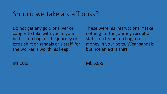#### Should we take a staff boss?

Do not get any gold or silver or copper to take with you in your belts— no bag for the journey or extra shirt or sandals or a staff, for the worker is worth his keep.

These were his instructions: "Take nothing for the journey except a staff—no bread, no bag, no money in your belts. Wear sandals but not an extra shirt.

Mt 10:9

Mk 6:8-9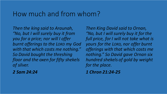#### How much and from whom?

*Then the king said to Araunah, "No, but I will surely buy it from you for a price; nor will I offer burnt offerings to the LORD my God with that which costs me nothing." So David bought the threshing floor and the oxen for fifty shekels of silver.* 

*2 Sam 24:24*

*Then King David said to Ornan, "No, but I will surely buy it for the full price, for I will not take what is yours for the LORD, nor offer burnt offerings with that which costs me nothing." So David gave Ornan six hundred shekels of gold by weight for the place.*

*1 Chron 21:24-25*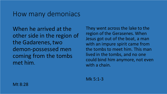#### How many demoniacs

When he arrived at the other side in the region of the Gadarenes, two demon-possessed men coming from the tombs met him.

They went across the lake to the region of the Gerasenes. When Jesus got out of the boat, a man with an impure spirit came from the tombs to meet him. This man lived in the tombs, and no one could bind him anymore, not even with a chain.

Mk 5:1-3

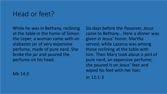# Head or feet?

While he was in Bethany, reclining at the table in the home of Simon the Leper, a woman came with an alabaster jar of very expensive perfume, made of pure nard. She broke the jar and poured the perfume on his head.

Mk 14:3

Six days before the Passover, Jesus came to Bethany... Here a dinner was given in Jesus' honor. Martha served, while Lazarus was among those reclining at the table with him. Then Mary took about a pint of pure nard, an expensive perfume; she poured it on Jesus' feet and wiped his feet with her hair.

Jn 12:1-3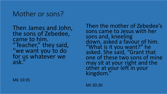### Mother or sons?

Then James and John, the sons of Zebedee, came to him. "Teacher," they said, "we want you to do for us whatever we ask."

Mk 10:35

Then the mother of Zebedee's sons came to Jesus with her sons and, kneeling down, asked a favour of him. "What is it you want?" he asked. She said, "Grant that one of these two sons of mine may sit at your right and the other at your left in your kingdom."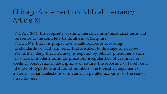# Chicago Statement on Biblical Inerrancy Article XIII

*WE AFFIRM* the propriety of using inerrancy as a theological term with reference to the complete truthfulness of Scripture. *WE DENY* that it is proper to evaluate Scripture according to standards of truth and error that are alien to its usage or purpose. We further deny that inerrancy is negated by Biblical phenomena such as a lack of modern technical precision, irregularities of grammar or spelling, observational descriptions of nature, the reporting of falsehoods, the use of hyperbole and round numbers, the topical arrangement of material, variant selections of material in parallel accounts, or the use of free citations.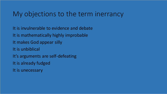#### My objections to the term inerrancy

It is invulnerable to evidence and debate It is mathematically highly improbable It makes God appear silly It is unbiblical It's arguments are self-defeating It is already fudged It is unecessary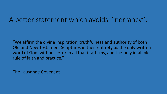#### A better statement which avoids "inerrancy":

"We affirm the divine inspiration, truthfulness and authority of both Old and New Testament Scriptures in their entirety as the only written word of God, without error in all that it affirms, and the only infallible rule of faith and practice."

The Lausanne Covenant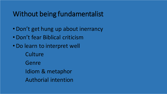# Without being fundamentalist

- •Don't get hung up about inerrancy
- •Don't fear Biblical criticism
- •Do learn to interpret well **Culture** Genre Idiom & metaphor Authorial intention